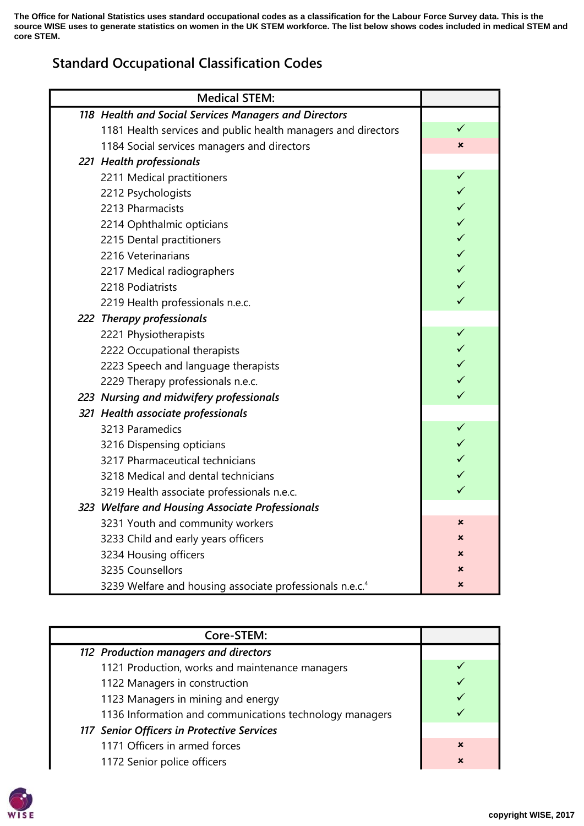**The Office for National Statistics uses standard occupational codes as a classification for the Labour Force Survey data. This is the source WISE uses to generate statistics on women in the UK STEM workforce. The list below shows codes included in medical STEM and core STEM.**

## Standard Occupational Classification Codes

| <b>Medical STEM:</b>                                                 |              |
|----------------------------------------------------------------------|--------------|
| 118 Health and Social Services Managers and Directors                |              |
| 1181 Health services and public health managers and directors        | ✓            |
| 1184 Social services managers and directors                          | ×            |
| 221 Health professionals                                             |              |
| 2211 Medical practitioners                                           | ✓            |
| 2212 Psychologists                                                   | $\checkmark$ |
| 2213 Pharmacists                                                     | $\checkmark$ |
| 2214 Ophthalmic opticians                                            | $\checkmark$ |
| 2215 Dental practitioners                                            | $\checkmark$ |
| 2216 Veterinarians                                                   | $\checkmark$ |
| 2217 Medical radiographers                                           | $\checkmark$ |
| 2218 Podiatrists                                                     | $\checkmark$ |
| 2219 Health professionals n.e.c.                                     | $\checkmark$ |
| 222 Therapy professionals                                            |              |
| 2221 Physiotherapists                                                | $\checkmark$ |
| 2222 Occupational therapists                                         | $\checkmark$ |
| 2223 Speech and language therapists                                  | $\checkmark$ |
| 2229 Therapy professionals n.e.c.                                    | $\checkmark$ |
| 223 Nursing and midwifery professionals                              | $\checkmark$ |
| 321 Health associate professionals                                   |              |
| 3213 Paramedics                                                      | $\checkmark$ |
| 3216 Dispensing opticians                                            | $\checkmark$ |
| 3217 Pharmaceutical technicians                                      | $\checkmark$ |
| 3218 Medical and dental technicians                                  | $\checkmark$ |
| 3219 Health associate professionals n.e.c.                           | $\checkmark$ |
| 323 Welfare and Housing Associate Professionals                      |              |
| 3231 Youth and community workers                                     | ×            |
| 3233 Child and early years officers                                  | x            |
| 3234 Housing officers                                                | $\mathbf x$  |
| 3235 Counsellors                                                     | ×            |
| 3239 Welfare and housing associate professionals n.e.c. <sup>4</sup> | ×            |

| Core-STEM:                                              |                           |
|---------------------------------------------------------|---------------------------|
| 112 Production managers and directors                   |                           |
| 1121 Production, works and maintenance managers         |                           |
| 1122 Managers in construction                           |                           |
| 1123 Managers in mining and energy                      |                           |
| 1136 Information and communications technology managers |                           |
| 117 Senior Officers in Protective Services              |                           |
| 1171 Officers in armed forces                           | $\boldsymbol{\mathsf{x}}$ |
| 1172 Senior police officers                             | $\mathbf x$               |

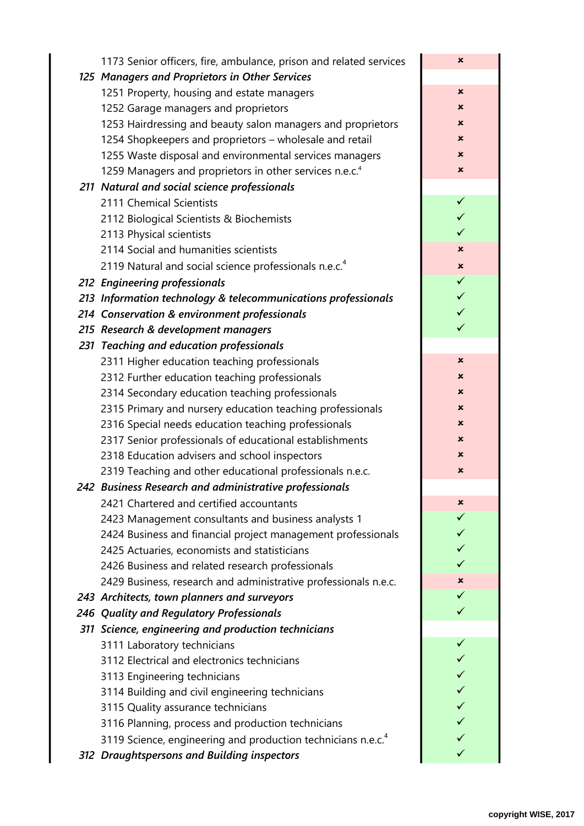| 1173 Senior officers, fire, ambulance, prison and related services       | ×              |
|--------------------------------------------------------------------------|----------------|
| 125 Managers and Proprietors in Other Services                           |                |
| 1251 Property, housing and estate managers                               | ×              |
| 1252 Garage managers and proprietors                                     | ×              |
| 1253 Hairdressing and beauty salon managers and proprietors              | ×              |
| 1254 Shopkeepers and proprietors - wholesale and retail                  | ×              |
| 1255 Waste disposal and environmental services managers                  | ×              |
| 1259 Managers and proprietors in other services n.e.c. <sup>4</sup>      | $\pmb{\times}$ |
| 211 Natural and social science professionals                             |                |
| 2111 Chemical Scientists                                                 | $\checkmark$   |
| 2112 Biological Scientists & Biochemists                                 | $\checkmark$   |
| 2113 Physical scientists                                                 | ✓              |
| 2114 Social and humanities scientists                                    | ×              |
| 2119 Natural and social science professionals n.e.c. <sup>4</sup>        | ×              |
| 212 Engineering professionals                                            | $\checkmark$   |
| 213 Information technology & telecommunications professionals            | $\checkmark$   |
| 214 Conservation & environment professionals                             | $\checkmark$   |
| 215 Research & development managers                                      | $\checkmark$   |
| 231 Teaching and education professionals                                 |                |
| 2311 Higher education teaching professionals                             | ×              |
| 2312 Further education teaching professionals                            | ×              |
| 2314 Secondary education teaching professionals                          | ×              |
| 2315 Primary and nursery education teaching professionals                | ×              |
| 2316 Special needs education teaching professionals                      | ×              |
| 2317 Senior professionals of educational establishments                  | ×              |
| 2318 Education advisers and school inspectors                            | ×              |
| 2319 Teaching and other educational professionals n.e.c.                 | ×              |
| 242 Business Research and administrative professionals                   |                |
| 2421 Chartered and certified accountants                                 | ×              |
| 2423 Management consultants and business analysts 1                      | ✓              |
| 2424 Business and financial project management professionals             | ✓              |
| 2425 Actuaries, economists and statisticians                             | ✓<br>✓         |
| 2426 Business and related research professionals                         |                |
| 2429 Business, research and administrative professionals n.e.c.          | ×<br>✓         |
| 243 Architects, town planners and surveyors                              | ✓              |
| 246 Quality and Regulatory Professionals                                 |                |
| 311 Science, engineering and production technicians                      | ✓              |
| 3111 Laboratory technicians                                              | ✓              |
| 3112 Electrical and electronics technicians                              | ✓              |
| 3113 Engineering technicians                                             | ✓              |
| 3114 Building and civil engineering technicians                          | ✓              |
| 3115 Quality assurance technicians                                       | ✓              |
| 3116 Planning, process and production technicians                        | ✓              |
| 3119 Science, engineering and production technicians n.e.c. <sup>4</sup> |                |
| 312 Draughtspersons and Building inspectors                              |                |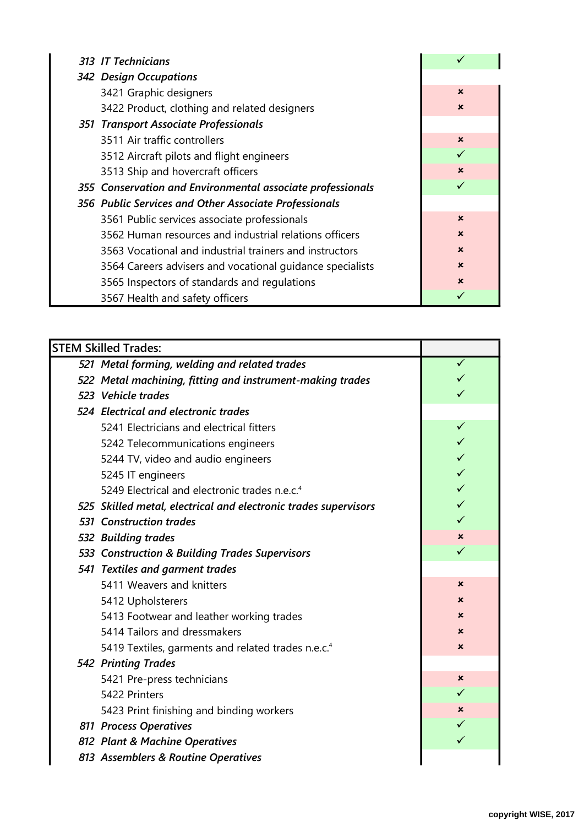| 313 IT Technicians                                         |                           |
|------------------------------------------------------------|---------------------------|
| 342 Design Occupations                                     |                           |
| 3421 Graphic designers                                     | $\boldsymbol{\mathsf{x}}$ |
| 3422 Product, clothing and related designers               | $\boldsymbol{\mathsf{x}}$ |
| 351 Transport Associate Professionals                      |                           |
| 3511 Air traffic controllers                               | $\boldsymbol{\mathsf{x}}$ |
| 3512 Aircraft pilots and flight engineers                  |                           |
| 3513 Ship and hovercraft officers                          | $\mathbf x$               |
| 355 Conservation and Environmental associate professionals | $\checkmark$              |
| 356 Public Services and Other Associate Professionals      |                           |
| 3561 Public services associate professionals               | $\boldsymbol{\mathsf{x}}$ |
| 3562 Human resources and industrial relations officers     | $\mathbf x$               |
| 3563 Vocational and industrial trainers and instructors    | $\boldsymbol{\mathsf{x}}$ |
| 3564 Careers advisers and vocational quidance specialists  | $\boldsymbol{\mathsf{x}}$ |
| 3565 Inspectors of standards and regulations               | $\mathbf x$               |
| 3567 Health and safety officers                            |                           |

| <b>STEM Skilled Trades:</b>                                     |   |  |  |
|-----------------------------------------------------------------|---|--|--|
| 521 Metal forming, welding and related trades                   | ✓ |  |  |
| 522 Metal machining, fitting and instrument-making trades       |   |  |  |
| 523 Vehicle trades                                              |   |  |  |
| 524 Electrical and electronic trades                            |   |  |  |
| 5241 Electricians and electrical fitters                        | ✓ |  |  |
| 5242 Telecommunications engineers                               |   |  |  |
| 5244 TV, video and audio engineers                              |   |  |  |
| 5245 IT engineers                                               |   |  |  |
| 5249 Electrical and electronic trades n.e.c. <sup>4</sup>       |   |  |  |
| 525 Skilled metal, electrical and electronic trades supervisors |   |  |  |
| <b>531 Construction trades</b>                                  | ✓ |  |  |
| 532 Building trades                                             | × |  |  |
| 533 Construction & Building Trades Supervisors                  | ✓ |  |  |
| 541 Textiles and garment trades                                 |   |  |  |
| 5411 Weavers and knitters                                       | × |  |  |
| 5412 Upholsterers                                               | × |  |  |
| 5413 Footwear and leather working trades                        | x |  |  |
| 5414 Tailors and dressmakers                                    | × |  |  |
| 5419 Textiles, garments and related trades n.e.c. <sup>4</sup>  | × |  |  |
| <b>542 Printing Trades</b>                                      |   |  |  |
| 5421 Pre-press technicians                                      | × |  |  |
| 5422 Printers                                                   | ✓ |  |  |
| 5423 Print finishing and binding workers                        | × |  |  |
| 811 Process Operatives                                          |   |  |  |
| 812 Plant & Machine Operatives                                  |   |  |  |
| 813 Assemblers & Routine Operatives                             |   |  |  |